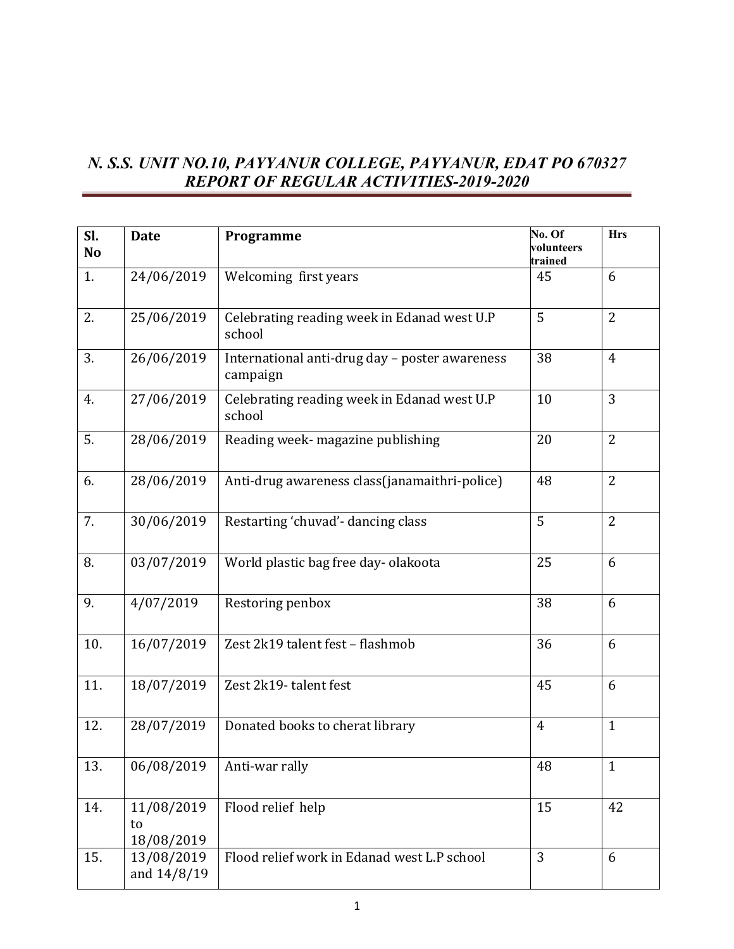## *N. S.S. UNIT NO.10, PAYYANUR COLLEGE, PAYYANUR, EDAT PO 670327 REPORT OF REGULAR ACTIVITIES-2019-2020*

| Sl.<br>N <sub>o</sub> | <b>Date</b>                    | Programme                                                  | No. Of<br>volunteers | <b>Hrs</b>     |
|-----------------------|--------------------------------|------------------------------------------------------------|----------------------|----------------|
|                       |                                |                                                            | trained              |                |
| 1.                    | 24/06/2019                     | Welcoming first years                                      | 45                   | 6              |
| 2.                    | 25/06/2019                     | Celebrating reading week in Edanad west U.P<br>school      | 5                    | $\overline{2}$ |
| 3.                    | 26/06/2019                     | International anti-drug day - poster awareness<br>campaign | 38                   | $\overline{4}$ |
| 4.                    | 27/06/2019                     | Celebrating reading week in Edanad west U.P<br>school      | 10                   | 3              |
| 5.                    | 28/06/2019                     | Reading week- magazine publishing                          | 20                   | $\overline{2}$ |
| 6.                    | 28/06/2019                     | Anti-drug awareness class(janamaithri-police)              | 48                   | $\overline{2}$ |
| 7.                    | 30/06/2019                     | Restarting 'chuvad'- dancing class                         | 5                    | $\overline{2}$ |
| 8.                    | 03/07/2019                     | World plastic bag free day-olakoota                        | 25                   | 6              |
| 9.                    | 4/07/2019                      | Restoring penbox                                           | 38                   | 6              |
| 10.                   | 16/07/2019                     | Zest 2k19 talent fest - flashmob                           | 36                   | 6              |
| 11.                   | 18/07/2019                     | Zest 2k19-talent fest                                      | 45                   | 6              |
| 12.                   | 28/07/2019                     | Donated books to cherat library                            | $\overline{4}$       | $\mathbf{1}$   |
| 13.                   | 06/08/2019                     | Anti-war rally                                             | 48                   | 1              |
| 14.                   | 11/08/2019<br>to<br>18/08/2019 | Flood relief help                                          | 15                   | 42             |
| 15.                   | 13/08/2019<br>and 14/8/19      | Flood relief work in Edanad west L.P school                | 3                    | 6              |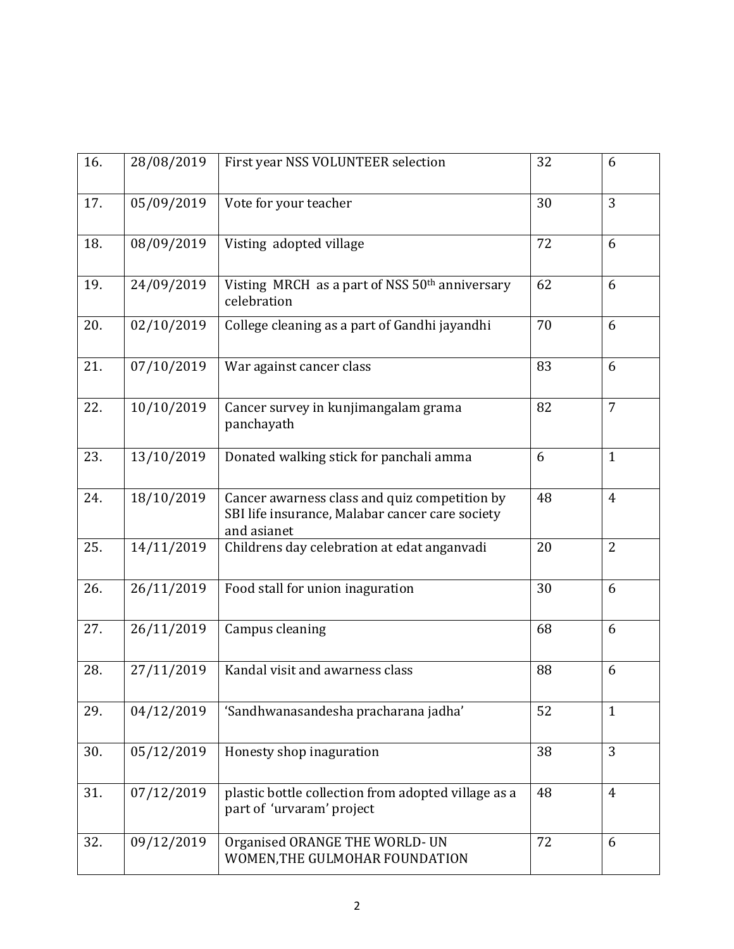| 16. | 28/08/2019 | First year NSS VOLUNTEER selection                                                                              | 32 | 6              |
|-----|------------|-----------------------------------------------------------------------------------------------------------------|----|----------------|
| 17. | 05/09/2019 | Vote for your teacher                                                                                           | 30 | 3              |
| 18. | 08/09/2019 | Visting adopted village                                                                                         | 72 | 6              |
| 19. | 24/09/2019 | Visting MRCH as a part of NSS 50 <sup>th</sup> anniversary<br>celebration                                       | 62 | 6              |
| 20. | 02/10/2019 | College cleaning as a part of Gandhi jayandhi                                                                   | 70 | 6              |
| 21. | 07/10/2019 | War against cancer class                                                                                        | 83 | 6              |
| 22. | 10/10/2019 | Cancer survey in kunjimangalam grama<br>panchayath                                                              | 82 | $\overline{7}$ |
| 23. | 13/10/2019 | Donated walking stick for panchali amma                                                                         | 6  | $\mathbf{1}$   |
| 24. | 18/10/2019 | Cancer awarness class and quiz competition by<br>SBI life insurance, Malabar cancer care society<br>and asianet | 48 | $\overline{4}$ |
| 25. | 14/11/2019 | Childrens day celebration at edat anganvadi                                                                     | 20 | $\overline{2}$ |
| 26. | 26/11/2019 | Food stall for union inaguration                                                                                | 30 | 6              |
| 27. | 26/11/2019 | Campus cleaning                                                                                                 | 68 | 6              |
| 28. | 27/11/2019 | Kandal visit and awarness class                                                                                 | 88 | 6              |
| 29. | 04/12/2019 | 'Sandhwanasandesha pracharana jadha'                                                                            | 52 | $\mathbf{1}$   |
| 30. | 05/12/2019 | Honesty shop inaguration                                                                                        | 38 | 3              |
| 31. | 07/12/2019 | plastic bottle collection from adopted village as a<br>part of 'urvaram' project                                | 48 | $\overline{4}$ |
| 32. | 09/12/2019 | Organised ORANGE THE WORLD- UN<br>WOMEN, THE GULMOHAR FOUNDATION                                                | 72 | 6              |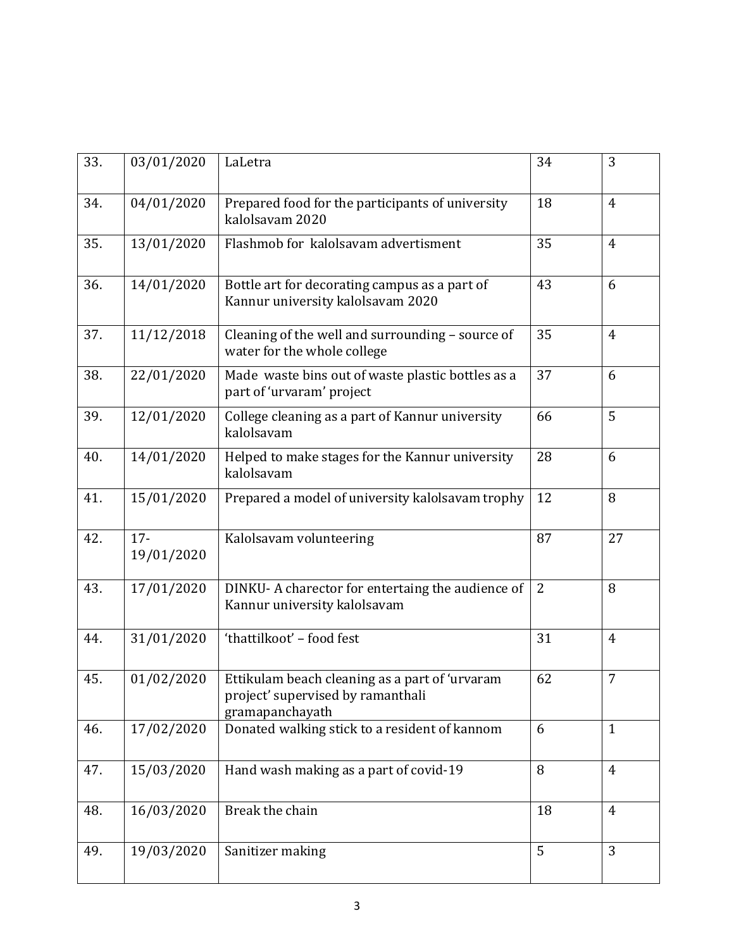| 33. | 03/01/2020           | LaLetra                                                                                                | 34 | 3              |
|-----|----------------------|--------------------------------------------------------------------------------------------------------|----|----------------|
| 34. | 04/01/2020           | Prepared food for the participants of university<br>kalolsavam 2020                                    | 18 | $\overline{4}$ |
| 35. | 13/01/2020           | Flashmob for kalolsavam advertisment                                                                   | 35 | $\overline{4}$ |
| 36. | 14/01/2020           | Bottle art for decorating campus as a part of<br>Kannur university kalolsavam 2020                     | 43 | 6              |
| 37. | 11/12/2018           | Cleaning of the well and surrounding - source of<br>water for the whole college                        | 35 | 4              |
| 38. | 22/01/2020           | Made waste bins out of waste plastic bottles as a<br>part of 'urvaram' project                         | 37 | 6              |
| 39. | 12/01/2020           | College cleaning as a part of Kannur university<br>kalolsavam                                          | 66 | 5              |
| 40. | 14/01/2020           | Helped to make stages for the Kannur university<br>kalolsavam                                          | 28 | 6              |
| 41. | 15/01/2020           | Prepared a model of university kalolsavam trophy                                                       | 12 | 8              |
| 42. | $17 -$<br>19/01/2020 | Kalolsavam volunteering                                                                                | 87 | 27             |
| 43. | 17/01/2020           | DINKU-A charector for entertaing the audience of<br>Kannur university kalolsavam                       | 2  | 8              |
| 44. | 31/01/2020           | 'thattilkoot' - food fest                                                                              | 31 | $\overline{4}$ |
| 45. | 01/02/2020           | Ettikulam beach cleaning as a part of 'urvaram<br>project' supervised by ramanthali<br>gramapanchayath | 62 | 7              |
| 46. | 17/02/2020           | Donated walking stick to a resident of kannom                                                          | 6  | $\mathbf{1}$   |
| 47. | 15/03/2020           | Hand wash making as a part of covid-19                                                                 | 8  | $\overline{4}$ |
| 48. | 16/03/2020           | Break the chain                                                                                        | 18 | $\overline{4}$ |
| 49. | 19/03/2020           | Sanitizer making                                                                                       | 5  | 3              |